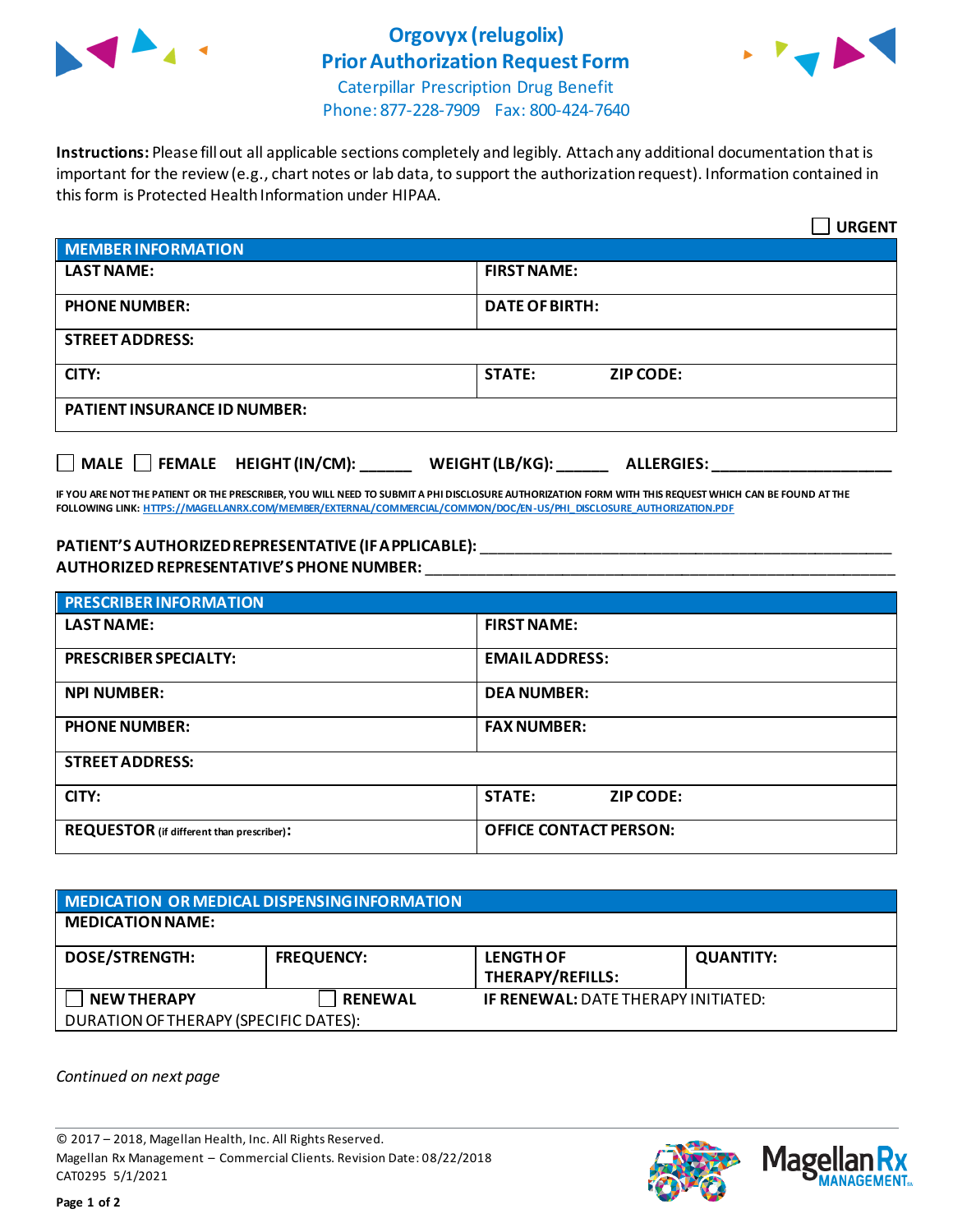

## **Orgovyx (relugolix) Prior Authorization Request Form**



Caterpillar Prescription Drug Benefit Phone: 877-228-7909 Fax: 800-424-7640

**Instructions:** Please fill out all applicable sections completely and legibly. Attach any additional documentation that is important for the review (e.g., chart notes or lab data, to support the authorization request). Information contained in this form is Protected Health Information under HIPAA.

|                                                                                   | <b>URGENT</b>                     |  |
|-----------------------------------------------------------------------------------|-----------------------------------|--|
| <b>MEMBER INFORMATION</b>                                                         |                                   |  |
| <b>LAST NAME:</b>                                                                 | <b>FIRST NAME:</b>                |  |
| <b>PHONE NUMBER:</b>                                                              | <b>DATE OF BIRTH:</b>             |  |
| <b>STREET ADDRESS:</b>                                                            |                                   |  |
| CITY:                                                                             | <b>STATE:</b><br><b>ZIP CODE:</b> |  |
| <b>PATIENT INSURANCE ID NUMBER:</b>                                               |                                   |  |
| $\Box$ MALE $\Box$ FEMALE HEIGHT (IN/CM):<br>WEIGHT (LB/KG):<br><b>ALLERGIES:</b> |                                   |  |

**IF YOU ARE NOT THE PATIENT OR THE PRESCRIBER, YOU WILL NEED TO SUBMIT A PHI DISCLOSURE AUTHORIZATION FORM WITH THIS REQUEST WHICH CAN BE FOUND AT THE FOLLOWING LINK[: HTTPS://MAGELLANRX.COM/MEMBER/EXTERNAL/COMMERCIAL/COMMON/DOC/EN-US/PHI\\_DISCLOSURE\\_AUTHORIZATION.PDF](https://magellanrx.com/member/external/commercial/common/doc/en-us/PHI_Disclosure_Authorization.pdf)**

## **PATIENT'S AUTHORIZED REPRESENTATIVE (IF APPLICABLE):** \_\_\_\_\_\_\_\_\_\_\_\_\_\_\_\_\_\_\_\_\_\_\_\_\_\_\_\_\_\_\_\_\_\_\_\_\_\_\_\_\_\_\_\_\_\_\_\_ **AUTHORIZED REPRESENTATIVE'S PHONE NUMBER:** \_\_\_\_\_\_\_\_\_\_\_\_\_\_\_\_\_\_\_\_\_\_\_\_\_\_\_\_\_\_\_\_\_\_\_\_\_\_\_\_\_\_\_\_\_\_\_\_\_\_\_\_\_\_\_

| <b>PRESCRIBER INFORMATION</b>             |                                   |  |  |
|-------------------------------------------|-----------------------------------|--|--|
| <b>LAST NAME:</b>                         | <b>FIRST NAME:</b>                |  |  |
| <b>PRESCRIBER SPECIALTY:</b>              | <b>EMAIL ADDRESS:</b>             |  |  |
| <b>NPI NUMBER:</b>                        | <b>DEA NUMBER:</b>                |  |  |
| <b>PHONE NUMBER:</b>                      | <b>FAX NUMBER:</b>                |  |  |
| <b>STREET ADDRESS:</b>                    |                                   |  |  |
| CITY:                                     | <b>STATE:</b><br><b>ZIP CODE:</b> |  |  |
| REQUESTOR (if different than prescriber): | <b>OFFICE CONTACT PERSON:</b>     |  |  |

## **MEDICATION OR MEDICAL DISPENSING INFORMATION MEDICATION NAME: DOSE/STRENGTH: FREQUENCY: LENGTH OF THERAPY/REFILLS: QUANTITY: NEW THERAPY RENEWAL IF RENEWAL:** DATE THERAPY INITIATED: DURATION OF THERAPY (SPECIFIC DATES):

*Continued on next page*

© 2017 – 2018, Magellan Health, Inc. All Rights Reserved. Magellan Rx Management – Commercial Clients. Revision Date: 08/22/2018 CAT0295 5/1/2021